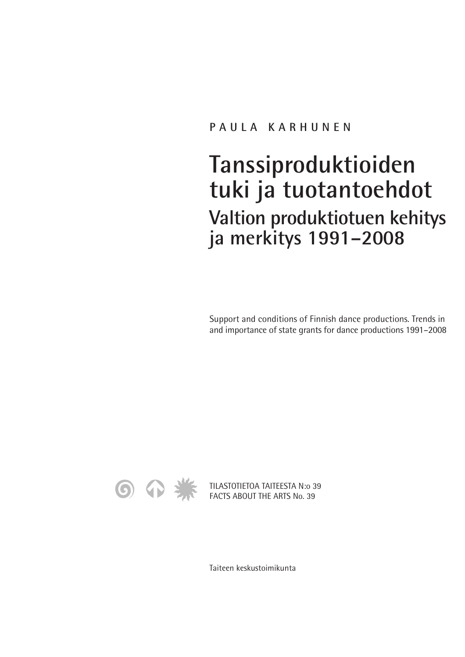#### **PAULA KARHUNEN**

# **Tanssiproduktioiden tuki ja tuotantoehdot Valtion produktiotuen kehitys ja merkitys 1991–2008**

Support and conditions of Finnish dance productions. Trends in and importance of state grants for dance productions 1991–2008



TILASTOTIETOA TAITEESTA N:o 39 FACTS ABOUT THE ARTS No. 39

Taiteen keskustoimikunta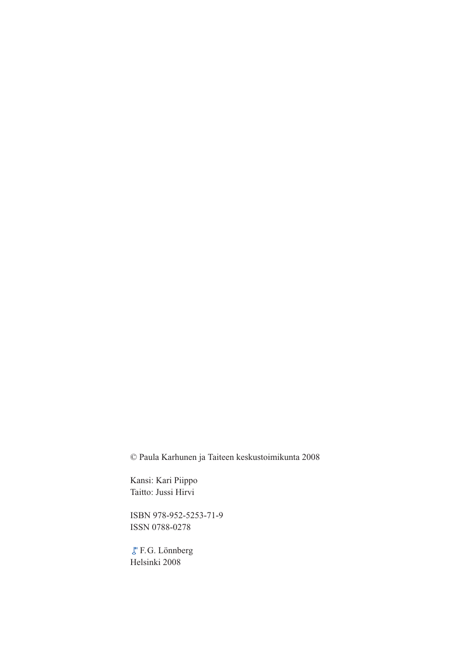© Paula Karhunen ja Taiteen keskustoimikunta 2008

Kansi: Kari Piippo Taitto: Jussi Hirvi

ISBN 978-952-5253-71-9 ISSN 0788-0278

F.G. Lönnberg Helsinki 2008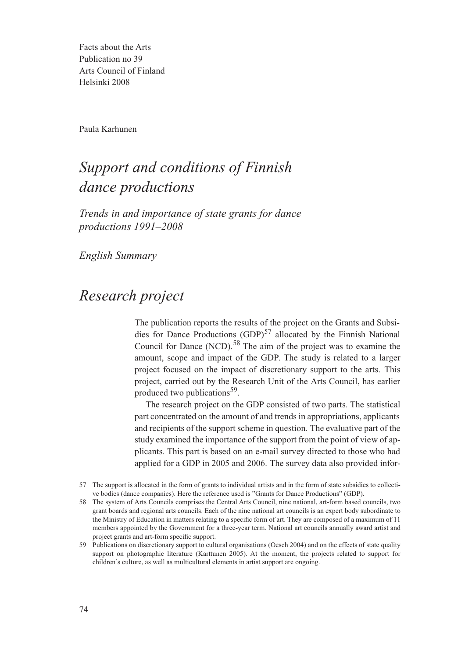Facts about the Arts Publication no 39 Arts Council of Finland Helsinki 2008

Paula Karhunen

## *Support and conditions of Finnish dance productions*

*Trends in and importance of state grants for dance productions 1991–2008*

*English Summary*

### *Research project*

The publication reports the results of the project on the Grants and Subsidies for Dance Productions  $(GDP)^{57}$  allocated by the Finnish National Council for Dance (NCD).<sup>58</sup> The aim of the project was to examine the amount, scope and impact of the GDP. The study is related to a larger project focused on the impact of discretionary support to the arts. This project, carried out by the Research Unit of the Arts Council, has earlier produced two publications<sup>59</sup>.

The research project on the GDP consisted of two parts. The statistical part concentrated on the amount of and trends in appropriations, applicants and recipients of the support scheme in question. The evaluative part of the study examined the importance of the support from the point of view of applicants. This part is based on an e-mail survey directed to those who had applied for a GDP in 2005 and 2006. The survey data also provided infor-

<sup>57</sup> The support is allocated in the form of grants to individual artists and in the form of state subsidies to collective bodies (dance companies). Here the reference used is "Grants for Dance Productions" (GDP).

<sup>58</sup> The system of Arts Councils comprises the Central Arts Council, nine national, art-form based councils, two grant boards and regional arts councils. Each of the nine national art councils is an expert body subordinate to the Ministry of Education in matters relating to a specific form of art. They are composed of a maximum of 11 members appointed by the Government for a three-year term. National art councils annually award artist and project grants and art-form specific support.

<sup>59</sup> Publications on discretionary support to cultural organisations (Oesch 2004) and on the effects of state quality support on photographic literature (Karttunen 2005). At the moment, the projects related to support for children's culture, as well as multicultural elements in artist support are ongoing.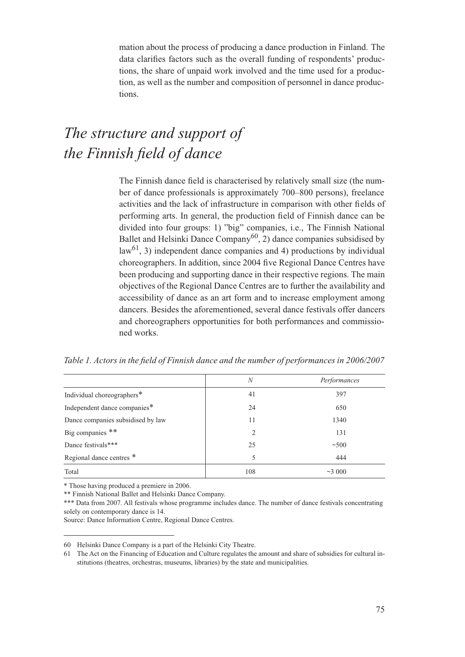mation about the process of producing a dance production in Finland. The data clarifies factors such as the overall funding of respondents' productions, the share of unpaid work involved and the time used for a production, as well as the number and composition of personnel in dance productions.

## *The structure and support of the Finnish field of dance*

The Finnish dance field is characterised by relatively small size (the number of dance professionals is approximately 700–800 persons), freelance activities and the lack of infrastructure in comparison with other fields of performing arts. In general, the production field of Finnish dance can be divided into four groups: 1) "big" companies, i.e., The Finnish National Ballet and Helsinki Dance Company<sup>60</sup>, 2) dance companies subsidised by  $law<sup>61</sup>$ , 3) independent dance companies and 4) productions by individual choreographers. In addition, since 2004 five Regional Dance Centres have been producing and supporting dance in their respective regions. The main objectives of the Regional Dance Centres are to further the availability and accessibility of dance as an art form and to increase employment among dancers. Besides the aforementioned, several dance festivals offer dancers and choreographers opportunities for both performances and commissioned works.

*Table 1. Actors in the field of Finnish dance and the number of performances in 2006/2007*

|                                   | N   | Performances |
|-----------------------------------|-----|--------------|
| Individual choreographers*        | 41  | 397          |
| Independent dance companies*      | 24  | 650          |
| Dance companies subsidised by law | 11  | 1340         |
| Big companies **                  | 2   | 131          |
| Dance festivals***                | 25  | $\sim$ 500   |
| Regional dance centres *          | 5   | 444          |
| Total                             | 108 | ~23,000      |

\* Those having produced a premiere in 2006.

\*\* Finnish National Ballet and Helsinki Dance Company.

\*\*\* Data from 2007. All festivals whose programme includes dance. The number of dance festivals concentrating solely on contemporary dance is 14.

Source: Dance Information Centre, Regional Dance Centres.

<sup>60</sup> Helsinki Dance Company is a part of the Helsinki City Theatre.

<sup>61</sup> The Act on the Financing of Education and Culture regulates the amount and share of subsidies for cultural institutions (theatres, orchestras, museums, libraries) by the state and municipalities.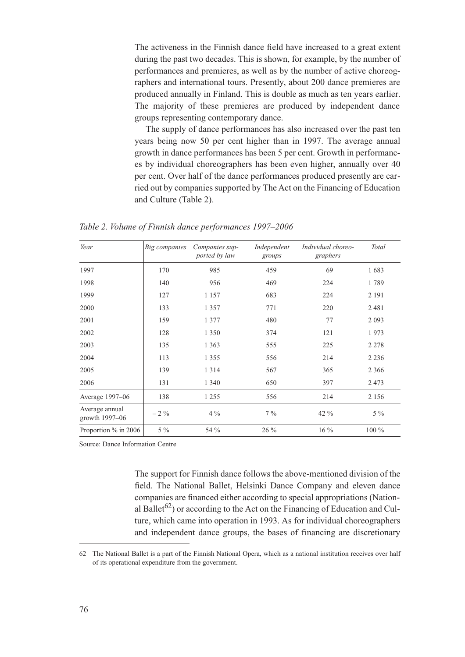The activeness in the Finnish dance field have increased to a great extent during the past two decades. This is shown, for example, by the number of performances and premieres, as well as by the number of active choreographers and international tours. Presently, about 200 dance premieres are produced annually in Finland. This is double as much as ten years earlier. The majority of these premieres are produced by independent dance groups representing contemporary dance.

The supply of dance performances has also increased over the past ten years being now 50 per cent higher than in 1997. The average annual growth in dance performances has been 5 per cent. Growth in performances by individual choreographers has been even higher, annually over 40 per cent. Over half of the dance performances produced presently are carried out by companies supported by The Act on the Financing of Education and Culture (Table 2).

*Table 2. Volume of Finnish dance performances 1997–2006*

| Year                             | Big companies | Companies sup-<br>ported by law | Independent<br>groups | Individual choreo-<br>graphers | Total   |
|----------------------------------|---------------|---------------------------------|-----------------------|--------------------------------|---------|
| 1997                             | 170           | 985                             | 459                   | 69                             | 1683    |
| 1998                             | 140           | 956                             | 469                   | 224                            | 1789    |
| 1999                             | 127           | 1 1 5 7                         | 683                   | 224                            | 2 1 9 1 |
| 2000                             | 133           | 1 3 5 7                         | 771                   | 220                            | 2481    |
| 2001                             | 159           | 1 3 7 7                         | 480                   | 77                             | 2 0 9 3 |
| 2002                             | 128           | 1 3 5 0                         | 374                   | 121                            | 1973    |
| 2003                             | 135           | 1 3 6 3                         | 555                   | 225                            | 2 2 7 8 |
| 2004                             | 113           | 1 3 5 5                         | 556                   | 214                            | 2 2 3 6 |
| 2005                             | 139           | 1 3 1 4                         | 567                   | 365                            | 2 3 6 6 |
| 2006                             | 131           | 1 3 4 0                         | 650                   | 397                            | 2473    |
| Average 1997-06                  | 138           | 1 2 5 5                         | 556                   | 214                            | 2 1 5 6 |
| Average annual<br>growth 1997-06 | $-2\%$        | $4\%$                           | $7\%$                 | 42 %                           | $5\%$   |
| Proportion % in 2006             | $5\%$         | 54 %                            | $26\%$                | 16 %                           | $100\%$ |

Source: Dance Information Centre

The support for Finnish dance follows the above-mentioned division of the field. The National Ballet, Helsinki Dance Company and eleven dance companies are financed either according to special appropriations (National Ballet<sup>62</sup>) or according to the Act on the Financing of Education and Culture, which came into operation in 1993. As for individual choreographers and independent dance groups, the bases of financing are discretionary

<sup>62</sup> The National Ballet is a part of the Finnish National Opera, which as a national institution receives over half of its operational expenditure from the government.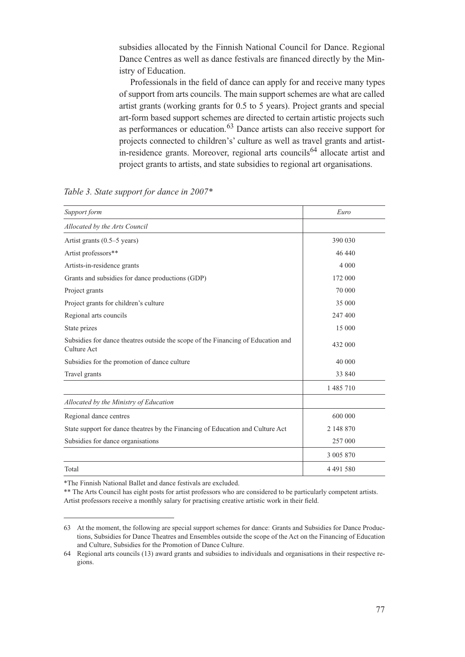subsidies allocated by the Finnish National Council for Dance. Regional Dance Centres as well as dance festivals are financed directly by the Ministry of Education.

Professionals in the field of dance can apply for and receive many types of support from arts councils. The main support schemes are what are called artist grants (working grants for 0.5 to 5 years). Project grants and special art-form based support schemes are directed to certain artistic projects such as performances or education.<sup>63</sup> Dance artists can also receive support for projects connected to children's' culture as well as travel grants and artistin-residence grants. Moreover, regional arts councils<sup>64</sup> allocate artist and project grants to artists, and state subsidies to regional art organisations.

| Support form                                                                                    | Euro          |
|-------------------------------------------------------------------------------------------------|---------------|
| Allocated by the Arts Council                                                                   |               |
| Artist grants (0.5-5 years)                                                                     | 390 030       |
| Artist professors**                                                                             | 46 440        |
| Artists-in-residence grants                                                                     | 4 0 0 0       |
| Grants and subsidies for dance productions (GDP)                                                | 172 000       |
| Project grants                                                                                  | 70 000        |
| Project grants for children's culture                                                           | 35 000        |
| Regional arts councils                                                                          | 247400        |
| State prizes                                                                                    | 15 000        |
| Subsidies for dance theatres outside the scope of the Financing of Education and<br>Culture Act | 432 000       |
| Subsidies for the promotion of dance culture                                                    | 40 000        |
| Travel grants                                                                                   | 33 840        |
|                                                                                                 | 1 485 710     |
| Allocated by the Ministry of Education                                                          |               |
| Regional dance centres                                                                          | 600 000       |
| State support for dance theatres by the Financing of Education and Culture Act                  | 2 148 870     |
| Subsidies for dance organisations                                                               | 257 000       |
|                                                                                                 | 3 005 870     |
| Total                                                                                           | 4 4 9 1 5 8 0 |

*Table 3. State support for dance in 2007\**

\*The Finnish National Ballet and dance festivals are excluded.

\*\* The Arts Council has eight posts for artist professors who are considered to be particularly competent artists. Artist professors receive a monthly salary for practising creative artistic work in their field.

<sup>63</sup> At the moment, the following are special support schemes for dance: Grants and Subsidies for Dance Productions, Subsidies for Dance Theatres and Ensembles outside the scope of the Act on the Financing of Education and Culture, Subsidies for the Promotion of Dance Culture.

<sup>64</sup> Regional arts councils (13) award grants and subsidies to individuals and organisations in their respective regions.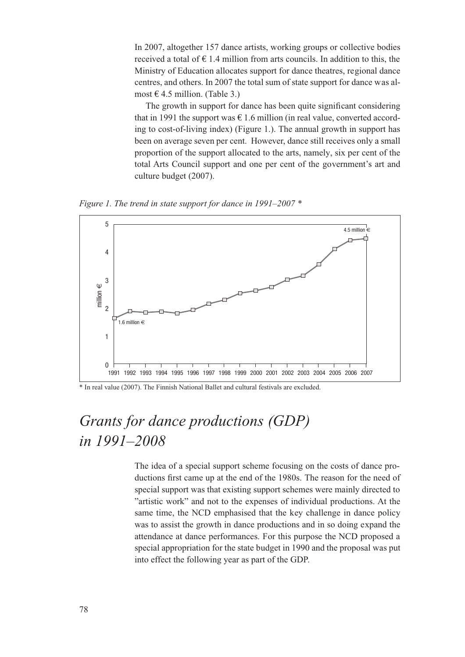In 2007, altogether 157 dance artists, working groups or collective bodies received a total of  $\epsilon$  1.4 million from arts councils. In addition to this, the Ministry of Education allocates support for dance theatres, regional dance centres, and others. In 2007 the total sum of state support for dance was almost  $\in$  4.5 million. (Table 3.)

The growth in support for dance has been quite significant considering that in 1991 the support was  $\epsilon$  1.6 million (in real value, converted according to cost-of-living index) (Figure 1.). The annual growth in support has been on average seven per cent. However, dance still receives only a small proportion of the support allocated to the arts, namely, six per cent of the total Arts Council support and one per cent of the government's art and culture budget (2007).

*Figure 1. The trend in state support for dance in 1991–2007 \**



\* In real value (2007). The Finnish National Ballet and cultural festivals are excluded.

# *Grants for dance productions (GDP) in 1991–2008*

The idea of a special support scheme focusing on the costs of dance productions first came up at the end of the 1980s. The reason for the need of special support was that existing support schemes were mainly directed to "artistic work" and not to the expenses of individual productions. At the same time, the NCD emphasised that the key challenge in dance policy was to assist the growth in dance productions and in so doing expand the attendance at dance performances. For this purpose the NCD proposed a special appropriation for the state budget in 1990 and the proposal was put into effect the following year as part of the GDP.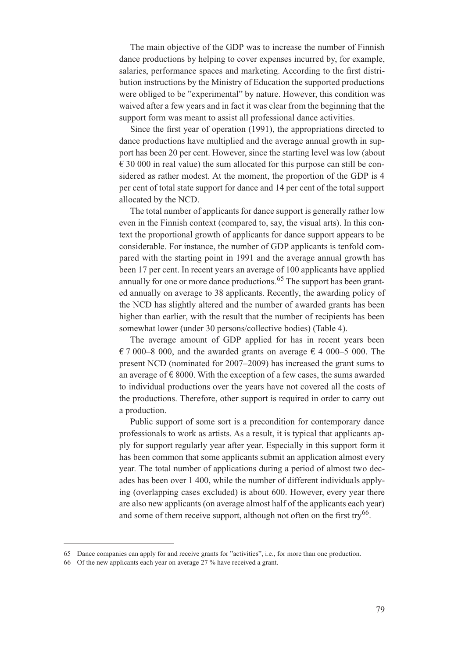The main objective of the GDP was to increase the number of Finnish dance productions by helping to cover expenses incurred by, for example, salaries, performance spaces and marketing. According to the first distribution instructions by the Ministry of Education the supported productions were obliged to be "experimental" by nature. However, this condition was waived after a few years and in fact it was clear from the beginning that the support form was meant to assist all professional dance activities.

Since the first year of operation (1991), the appropriations directed to dance productions have multiplied and the average annual growth in support has been 20 per cent. However, since the starting level was low (about  $\epsilon$  30 000 in real value) the sum allocated for this purpose can still be considered as rather modest. At the moment, the proportion of the GDP is 4 per cent of total state support for dance and 14 per cent of the total support allocated by the NCD.

The total number of applicants for dance support is generally rather low even in the Finnish context (compared to, say, the visual arts). In this context the proportional growth of applicants for dance support appears to be considerable. For instance, the number of GDP applicants is tenfold compared with the starting point in 1991 and the average annual growth has been 17 per cent. In recent years an average of 100 applicants have applied annually for one or more dance productions.  $65$  The support has been granted annually on average to 38 applicants. Recently, the awarding policy of the NCD has slightly altered and the number of awarded grants has been higher than earlier, with the result that the number of recipients has been somewhat lower (under 30 persons/collective bodies) (Table 4).

The average amount of GDP applied for has in recent years been € 7 000–8 000, and the awarded grants on average € 4 000–5 000. The present NCD (nominated for 2007–2009) has increased the grant sums to an average of  $\epsilon$  8000. With the exception of a few cases, the sums awarded to individual productions over the years have not covered all the costs of the productions. Therefore, other support is required in order to carry out a production.

Public support of some sort is a precondition for contemporary dance professionals to work as artists. As a result, it is typical that applicants apply for support regularly year after year. Especially in this support form it has been common that some applicants submit an application almost every year. The total number of applications during a period of almost two decades has been over 1 400, while the number of different individuals applying (overlapping cases excluded) is about 600. However, every year there are also new applicants (on average almost half of the applicants each year) and some of them receive support, although not often on the first try<sup>66</sup>.

<sup>65</sup> Dance companies can apply for and receive grants for "activities", i.e., for more than one production.

<sup>66</sup> Of the new applicants each year on average 27 % have received a grant.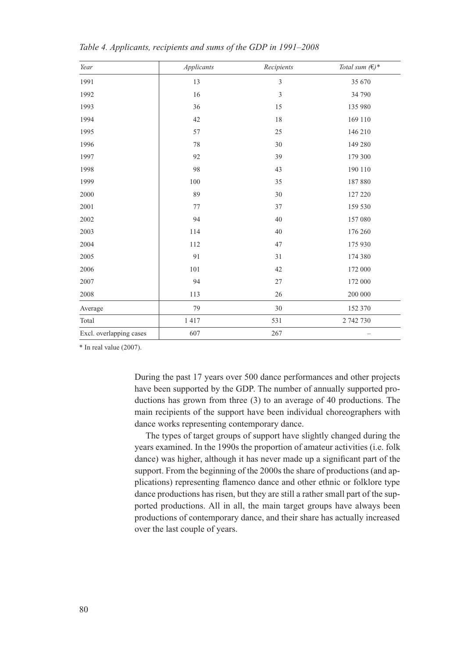| Year                    | Applicants | Recipients     | Total sum $(\in)$ * |
|-------------------------|------------|----------------|---------------------|
| 1991                    | 13         | $\mathfrak{Z}$ | 35 670              |
| 1992                    | 16         | $\mathfrak{Z}$ | 34 790              |
| 1993                    | 36         | 15             | 135 980             |
| 1994                    | 42         | 18             | 169 110             |
| 1995                    | 57         | 25             | 146 210             |
| 1996                    | 78         | 30             | 149 280             |
| 1997                    | 92         | 39             | 179 300             |
| 1998                    | 98         | 43             | 190 110             |
| 1999                    | 100        | 35             | 187880              |
| 2000                    | 89         | 30             | 127 220             |
| 2001                    | 77         | 37             | 159 530             |
| 2002                    | 94         | 40             | 157 080             |
| 2003                    | 114        | 40             | 176 260             |
| 2004                    | 112        | 47             | 175 930             |
| 2005                    | 91         | 31             | 174 380             |
| 2006                    | 101        | 42             | 172 000             |
| 2007                    | 94         | 27             | 172 000             |
| 2008                    | 113        | 26             | 200 000             |
| Average                 | 79         | 30             | 152 370             |
| Total                   | 1417       | 531            | 2 742 730           |
| Excl. overlapping cases | 607        | 267            |                     |

*Table 4. Applicants, recipients and sums of the GDP in 1991–2008*

\* In real value (2007).

During the past 17 years over 500 dance performances and other projects have been supported by the GDP. The number of annually supported productions has grown from three (3) to an average of 40 productions. The main recipients of the support have been individual choreographers with dance works representing contemporary dance.

The types of target groups of support have slightly changed during the years examined. In the 1990s the proportion of amateur activities (i.e. folk dance) was higher, although it has never made up a significant part of the support. From the beginning of the 2000s the share of productions (and applications) representing flamenco dance and other ethnic or folklore type dance productions has risen, but they are still a rather small part of the supported productions. All in all, the main target groups have always been productions of contemporary dance, and their share has actually increased over the last couple of years.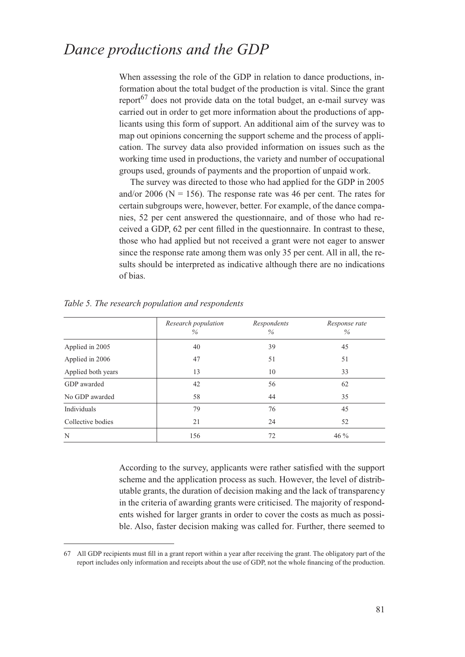#### *Dance productions and the GDP*

When assessing the role of the GDP in relation to dance productions, information about the total budget of the production is vital. Since the grant report<sup>67</sup> does not provide data on the total budget, an e-mail survey was carried out in order to get more information about the productions of applicants using this form of support. An additional aim of the survey was to map out opinions concerning the support scheme and the process of application. The survey data also provided information on issues such as the working time used in productions, the variety and number of occupational groups used, grounds of payments and the proportion of unpaid work.

The survey was directed to those who had applied for the GDP in 2005 and/or 2006 ( $N = 156$ ). The response rate was 46 per cent. The rates for certain subgroups were, however, better. For example, of the dance companies, 52 per cent answered the questionnaire, and of those who had received a GDP, 62 per cent filled in the questionnaire. In contrast to these, those who had applied but not received a grant were not eager to answer since the response rate among them was only 35 per cent. All in all, the results should be interpreted as indicative although there are no indications of bias.

|                    | Research population<br>$\%$ | Respondents<br>$\%$ | Response rate<br>$\%$ |
|--------------------|-----------------------------|---------------------|-----------------------|
| Applied in 2005    | 40                          | 39                  | 45                    |
| Applied in 2006    | 47                          | 51                  | 51                    |
| Applied both years | 13                          | 10                  | 33                    |
| GDP awarded        | 42                          | 56                  | 62                    |
| No GDP awarded     | 58                          | 44                  | 35                    |
| Individuals        | 79                          | 76                  | 45                    |
| Collective bodies  | 21                          | 24                  | 52                    |
| N                  | 156                         | 72                  | $46\%$                |

*Table 5. The research population and respondents*

According to the survey, applicants were rather satisfied with the support scheme and the application process as such. However, the level of distributable grants, the duration of decision making and the lack of transparency in the criteria of awarding grants were criticised. The majority of respondents wished for larger grants in order to cover the costs as much as possible. Also, faster decision making was called for. Further, there seemed to

<sup>67</sup> All GDP recipients must fill in a grant report within a year after receiving the grant. The obligatory part of the report includes only information and receipts about the use of GDP, not the whole financing of the production.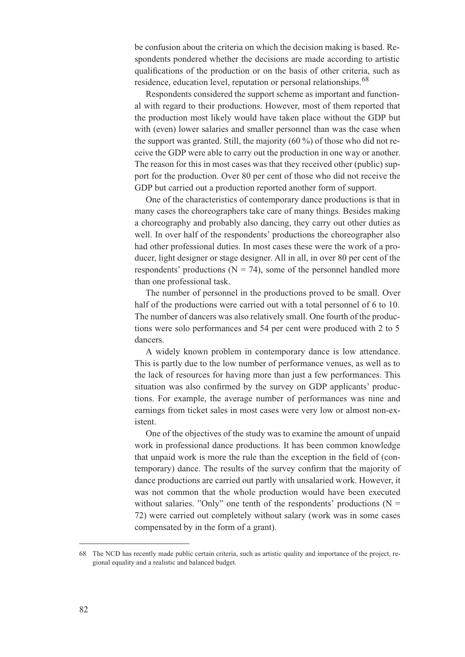be confusion about the criteria on which the decision making is based. Respondents pondered whether the decisions are made according to artistic qualifications of the production or on the basis of other criteria, such as residence, education level, reputation or personal relationships.<sup>68</sup>

Respondents considered the support scheme as important and functional with regard to their productions. However, most of them reported that the production most likely would have taken place without the GDP but with (even) lower salaries and smaller personnel than was the case when the support was granted. Still, the majority (60 %) of those who did not receive the GDP were able to carry out the production in one way or another. The reason for this in most cases was that they received other (public) support for the production. Over 80 per cent of those who did not receive the GDP but carried out a production reported another form of support.

One of the characteristics of contemporary dance productions is that in many cases the choreographers take care of many things. Besides making a choreography and probably also dancing, they carry out other duties as well. In over half of the respondents' productions the choreographer also had other professional duties. In most cases these were the work of a producer, light designer or stage designer. All in all, in over 80 per cent of the respondents' productions ( $N = 74$ ), some of the personnel handled more than one professional task.

The number of personnel in the productions proved to be small. Over half of the productions were carried out with a total personnel of 6 to 10. The number of dancers was also relatively small. One fourth of the productions were solo performances and 54 per cent were produced with 2 to 5 dancers.

A widely known problem in contemporary dance is low attendance. This is partly due to the low number of performance venues, as well as to the lack of resources for having more than just a few performances. This situation was also confirmed by the survey on GDP applicants' productions. For example, the average number of performances was nine and earnings from ticket sales in most cases were very low or almost non-existent.

One of the objectives of the study was to examine the amount of unpaid work in professional dance productions. It has been common knowledge that unpaid work is more the rule than the exception in the field of (contemporary) dance. The results of the survey confirm that the majority of dance productions are carried out partly with unsalaried work. However, it was not common that the whole production would have been executed without salaries. "Only" one tenth of the respondents' productions ( $N =$ 72) were carried out completely without salary (work was in some cases compensated by in the form of a grant).

<sup>68</sup> The NCD has recently made public certain criteria, such as artistic quality and importance of the project, regional equality and a realistic and balanced budget.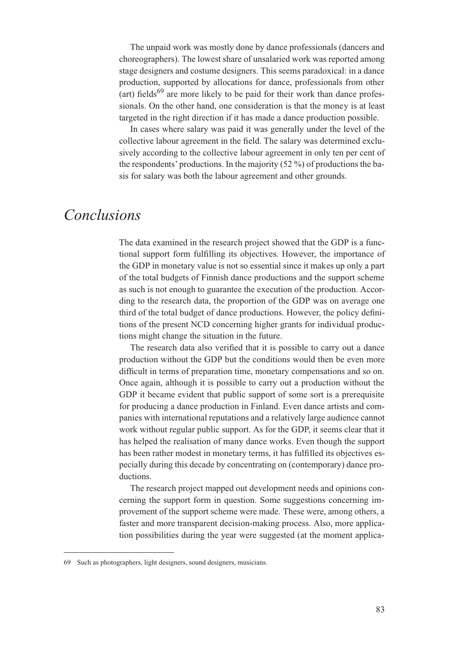The unpaid work was mostly done by dance professionals (dancers and choreographers). The lowest share of unsalaried work was reported among stage designers and costume designers. This seems paradoxical: in a dance production, supported by allocations for dance, professionals from other (art) fields<sup>69</sup> are more likely to be paid for their work than dance professionals. On the other hand, one consideration is that the money is at least targeted in the right direction if it has made a dance production possible.

In cases where salary was paid it was generally under the level of the collective labour agreement in the field. The salary was determined exclusively according to the collective labour agreement in only ten per cent of the respondents' productions. In the majority (52 %) of productions the basis for salary was both the labour agreement and other grounds.

#### *Conclusions*

The data examined in the research project showed that the GDP is a functional support form fulfilling its objectives. However, the importance of the GDP in monetary value is not so essential since it makes up only a part of the total budgets of Finnish dance productions and the support scheme as such is not enough to guarantee the execution of the production. According to the research data, the proportion of the GDP was on average one third of the total budget of dance productions. However, the policy definitions of the present NCD concerning higher grants for individual productions might change the situation in the future.

The research data also verified that it is possible to carry out a dance production without the GDP but the conditions would then be even more difficult in terms of preparation time, monetary compensations and so on. Once again, although it is possible to carry out a production without the GDP it became evident that public support of some sort is a prerequisite for producing a dance production in Finland. Even dance artists and companies with international reputations and a relatively large audience cannot work without regular public support. As for the GDP, it seems clear that it has helped the realisation of many dance works. Even though the support has been rather modest in monetary terms, it has fulfilled its objectives especially during this decade by concentrating on (contemporary) dance productions.

The research project mapped out development needs and opinions concerning the support form in question. Some suggestions concerning improvement of the support scheme were made. These were, among others, a faster and more transparent decision-making process. Also, more application possibilities during the year were suggested (at the moment applica-

<sup>69</sup> Such as photographers, light designers, sound designers, musicians.